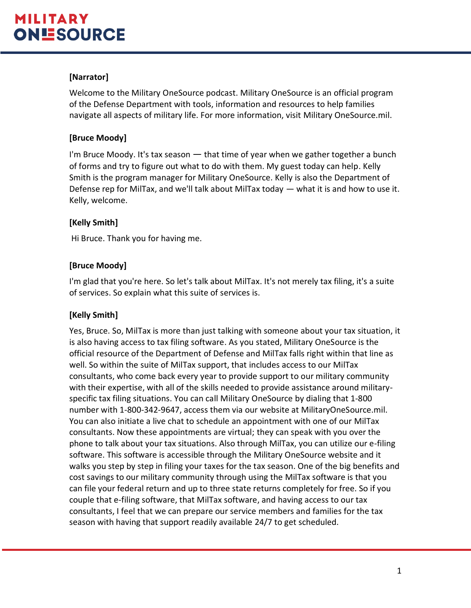# **[Narrator]**

Welcome to the Military OneSource podcast. Military OneSource is an official program of the Defense Department with tools, information and resources to help families navigate all aspects of military life. For more information, visit Military OneSource.mil.

# **[Bruce Moody]**

I'm Bruce Moody. It's tax season — that time of year when we gather together a bunch of forms and try to figure out what to do with them. My guest today can help. Kelly Smith is the program manager for Military OneSource. Kelly is also the Department of Defense rep for MilTax, and we'll talk about MilTax today — what it is and how to use it. Kelly, welcome.

# **[Kelly Smith]**

Hi Bruce. Thank you for having me.

# **[Bruce Moody]**

I'm glad that you're here. So let's talk about MilTax. It's not merely tax filing, it's a suite of services. So explain what this suite of services is.

# **[Kelly Smith]**

Yes, Bruce. So, MilTax is more than just talking with someone about your tax situation, it is also having access to tax filing software. As you stated, Military OneSource is the official resource of the Department of Defense and MilTax falls right within that line as well. So within the suite of MilTax support, that includes access to our MilTax consultants, who come back every year to provide support to our military community with their expertise, with all of the skills needed to provide assistance around militaryspecific tax filing situations. You can call Military OneSource by dialing that 1-800 number with 1-800-342-9647, access them via our website at MilitaryOneSource.mil. You can also initiate a live chat to schedule an appointment with one of our MilTax consultants. Now these appointments are virtual; they can speak with you over the phone to talk about your tax situations. Also through MilTax, you can utilize our e-filing software. This software is accessible through the Military OneSource website and it walks you step by step in filing your taxes for the tax season. One of the big benefits and cost savings to our military community through using the MilTax software is that you can file your federal return and up to three state returns completely for free. So if you couple that e-filing software, that MilTax software, and having access to our tax consultants, I feel that we can prepare our service members and families for the tax season with having that support readily available 24/7 to get scheduled.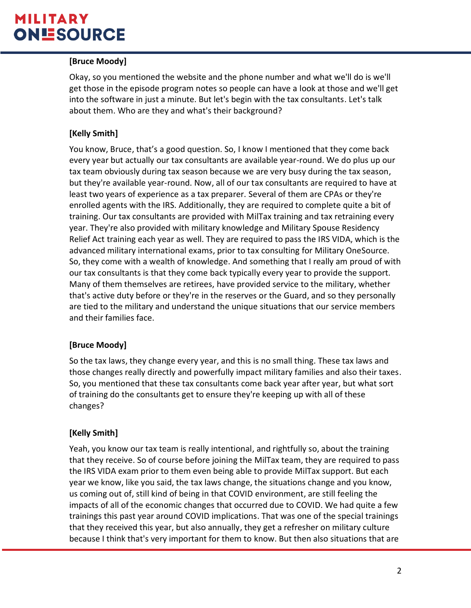#### **[Bruce Moody]**

Okay, so you mentioned the website and the phone number and what we'll do is we'll get those in the episode program notes so people can have a look at those and we'll get into the software in just a minute. But let's begin with the tax consultants. Let's talk about them. Who are they and what's their background?

### **[Kelly Smith]**

You know, Bruce, that's a good question. So, I know I mentioned that they come back every year but actually our tax consultants are available year-round. We do plus up our tax team obviously during tax season because we are very busy during the tax season, but they're available year-round. Now, all of our tax consultants are required to have at least two years of experience as a tax preparer. Several of them are CPAs or they're enrolled agents with the IRS. Additionally, they are required to complete quite a bit of training. Our tax consultants are provided with MilTax training and tax retraining every year. They're also provided with military knowledge and Military Spouse Residency Relief Act training each year as well. They are required to pass the IRS VIDA, which is the advanced military international exams, prior to tax consulting for Military OneSource. So, they come with a wealth of knowledge. And something that I really am proud of with our tax consultants is that they come back typically every year to provide the support. Many of them themselves are retirees, have provided service to the military, whether that's active duty before or they're in the reserves or the Guard, and so they personally are tied to the military and understand the unique situations that our service members and their families face.

# **[Bruce Moody]**

So the tax laws, they change every year, and this is no small thing. These tax laws and those changes really directly and powerfully impact military families and also their taxes. So, you mentioned that these tax consultants come back year after year, but what sort of training do the consultants get to ensure they're keeping up with all of these changes?

#### **[Kelly Smith]**

Yeah, you know our tax team is really intentional, and rightfully so, about the training that they receive. So of course before joining the MilTax team, they are required to pass the IRS VIDA exam prior to them even being able to provide MilTax support. But each year we know, like you said, the tax laws change, the situations change and you know, us coming out of, still kind of being in that COVID environment, are still feeling the impacts of all of the economic changes that occurred due to COVID. We had quite a few trainings this past year around COVID implications. That was one of the special trainings that they received this year, but also annually, they get a refresher on military culture because I think that's very important for them to know. But then also situations that are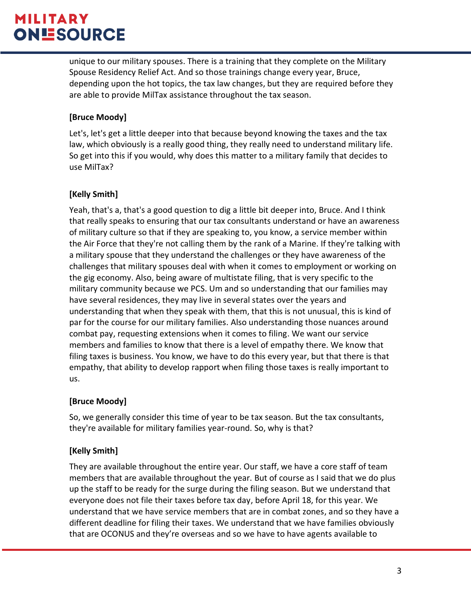unique to our military spouses. There is a training that they complete on the Military Spouse Residency Relief Act. And so those trainings change every year, Bruce, depending upon the hot topics, the tax law changes, but they are required before they are able to provide MilTax assistance throughout the tax season.

# **[Bruce Moody]**

Let's, let's get a little deeper into that because beyond knowing the taxes and the tax law, which obviously is a really good thing, they really need to understand military life. So get into this if you would, why does this matter to a military family that decides to use MilTax?

# **[Kelly Smith]**

Yeah, that's a, that's a good question to dig a little bit deeper into, Bruce. And I think that really speaks to ensuring that our tax consultants understand or have an awareness of military culture so that if they are speaking to, you know, a service member within the Air Force that they're not calling them by the rank of a Marine. If they're talking with a military spouse that they understand the challenges or they have awareness of the challenges that military spouses deal with when it comes to employment or working on the gig economy. Also, being aware of multistate filing, that is very specific to the military community because we PCS. Um and so understanding that our families may have several residences, they may live in several states over the years and understanding that when they speak with them, that this is not unusual, this is kind of par for the course for our military families. Also understanding those nuances around combat pay, requesting extensions when it comes to filing. We want our service members and families to know that there is a level of empathy there. We know that filing taxes is business. You know, we have to do this every year, but that there is that empathy, that ability to develop rapport when filing those taxes is really important to us.

# **[Bruce Moody]**

So, we generally consider this time of year to be tax season. But the tax consultants, they're available for military families year-round. So, why is that?

# **[Kelly Smith]**

They are available throughout the entire year. Our staff, we have a core staff of team members that are available throughout the year. But of course as I said that we do plus up the staff to be ready for the surge during the filing season. But we understand that everyone does not file their taxes before tax day, before April 18, for this year. We understand that we have service members that are in combat zones, and so they have a different deadline for filing their taxes. We understand that we have families obviously that are OCONUS and they're overseas and so we have to have agents available to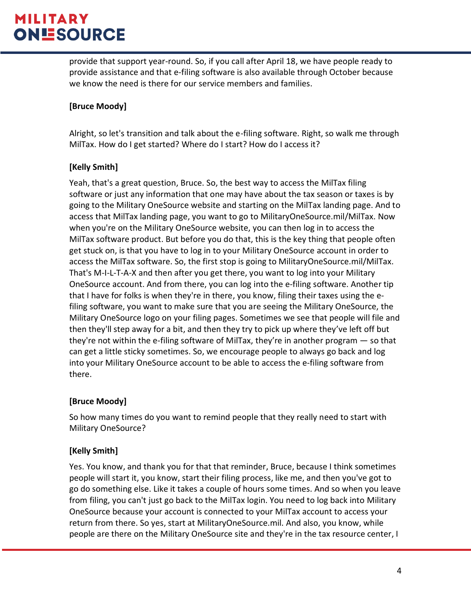provide that support year-round. So, if you call after April 18, we have people ready to provide assistance and that e-filing software is also available through October because we know the need is there for our service members and families.

#### **[Bruce Moody]**

Alright, so let's transition and talk about the e-filing software. Right, so walk me through MilTax. How do I get started? Where do I start? How do I access it?

#### **[Kelly Smith]**

Yeah, that's a great question, Bruce. So, the best way to access the MilTax filing software or just any information that one may have about the tax season or taxes is by going to the Military OneSource website and starting on the MilTax landing page. And to access that MilTax landing page, you want to go to MilitaryOneSource.mil/MilTax. Now when you're on the Military OneSource website, you can then log in to access the MilTax software product. But before you do that, this is the key thing that people often get stuck on, is that you have to log in to your Military OneSource account in order to access the MilTax software. So, the first stop is going to MilitaryOneSource.mil/MilTax. That's M-I-L-T-A-X and then after you get there, you want to log into your Military OneSource account. And from there, you can log into the e-filing software. Another tip that I have for folks is when they're in there, you know, filing their taxes using the efiling software, you want to make sure that you are seeing the Military OneSource, the Military OneSource logo on your filing pages. Sometimes we see that people will file and then they'll step away for a bit, and then they try to pick up where they've left off but they're not within the e-filing software of MilTax, they're in another program — so that can get a little sticky sometimes. So, we encourage people to always go back and log into your Military OneSource account to be able to access the e-filing software from there.

#### **[Bruce Moody]**

So how many times do you want to remind people that they really need to start with Military OneSource?

#### **[Kelly Smith]**

Yes. You know, and thank you for that that reminder, Bruce, because I think sometimes people will start it, you know, start their filing process, like me, and then you've got to go do something else. Like it takes a couple of hours some times. And so when you leave from filing, you can't just go back to the MilTax login. You need to log back into Military OneSource because your account is connected to your MilTax account to access your return from there. So yes, start at MilitaryOneSource.mil. And also, you know, while people are there on the Military OneSource site and they're in the tax resource center, I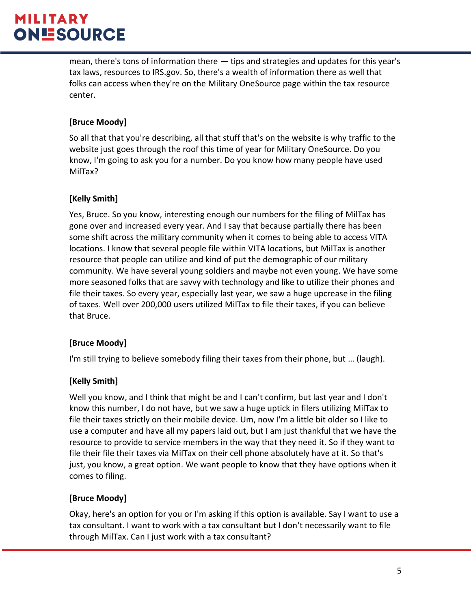mean, there's tons of information there — tips and strategies and updates for this year's tax laws, resources to IRS.gov. So, there's a wealth of information there as well that folks can access when they're on the Military OneSource page within the tax resource center.

# **[Bruce Moody]**

So all that that you're describing, all that stuff that's on the website is why traffic to the website just goes through the roof this time of year for Military OneSource. Do you know, I'm going to ask you for a number. Do you know how many people have used MilTax?

# **[Kelly Smith]**

Yes, Bruce. So you know, interesting enough our numbers for the filing of MilTax has gone over and increased every year. And I say that because partially there has been some shift across the military community when it comes to being able to access VITA locations. I know that several people file within VITA locations, but MilTax is another resource that people can utilize and kind of put the demographic of our military community. We have several young soldiers and maybe not even young. We have some more seasoned folks that are savvy with technology and like to utilize their phones and file their taxes. So every year, especially last year, we saw a huge upcrease in the filing of taxes. Well over 200,000 users utilized MilTax to file their taxes, if you can believe that Bruce.

# **[Bruce Moody]**

I'm still trying to believe somebody filing their taxes from their phone, but … (laugh).

# **[Kelly Smith]**

Well you know, and I think that might be and I can't confirm, but last year and I don't know this number, I do not have, but we saw a huge uptick in filers utilizing MilTax to file their taxes strictly on their mobile device. Um, now I'm a little bit older so I like to use a computer and have all my papers laid out, but I am just thankful that we have the resource to provide to service members in the way that they need it. So if they want to file their file their taxes via MilTax on their cell phone absolutely have at it. So that's just, you know, a great option. We want people to know that they have options when it comes to filing.

# **[Bruce Moody]**

Okay, here's an option for you or I'm asking if this option is available. Say I want to use a tax consultant. I want to work with a tax consultant but I don't necessarily want to file through MilTax. Can I just work with a tax consultant?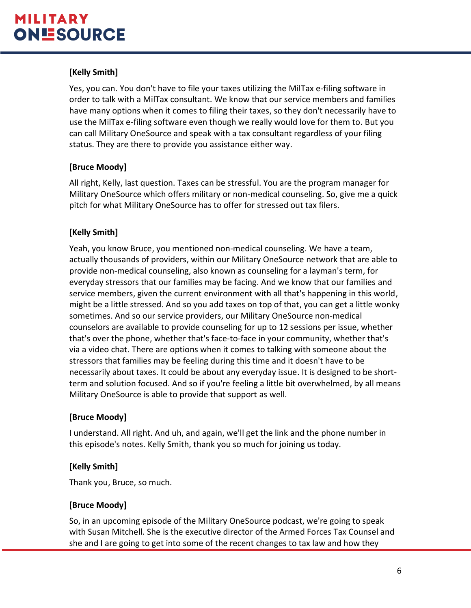# **[Kelly Smith]**

Yes, you can. You don't have to file your taxes utilizing the MilTax e-filing software in order to talk with a MilTax consultant. We know that our service members and families have many options when it comes to filing their taxes, so they don't necessarily have to use the MilTax e-filing software even though we really would love for them to. But you can call Military OneSource and speak with a tax consultant regardless of your filing status. They are there to provide you assistance either way.

# **[Bruce Moody]**

All right, Kelly, last question. Taxes can be stressful. You are the program manager for Military OneSource which offers military or non-medical counseling. So, give me a quick pitch for what Military OneSource has to offer for stressed out tax filers.

# **[Kelly Smith]**

Yeah, you know Bruce, you mentioned non-medical counseling. We have a team, actually thousands of providers, within our Military OneSource network that are able to provide non-medical counseling, also known as counseling for a layman's term, for everyday stressors that our families may be facing. And we know that our families and service members, given the current environment with all that's happening in this world, might be a little stressed. And so you add taxes on top of that, you can get a little wonky sometimes. And so our service providers, our Military OneSource non-medical counselors are available to provide counseling for up to 12 sessions per issue, whether that's over the phone, whether that's face-to-face in your community, whether that's via a video chat. There are options when it comes to talking with someone about the stressors that families may be feeling during this time and it doesn't have to be necessarily about taxes. It could be about any everyday issue. It is designed to be shortterm and solution focused. And so if you're feeling a little bit overwhelmed, by all means Military OneSource is able to provide that support as well.

#### **[Bruce Moody]**

I understand. All right. And uh, and again, we'll get the link and the phone number in this episode's notes. Kelly Smith, thank you so much for joining us today.

#### **[Kelly Smith]**

Thank you, Bruce, so much.

# **[Bruce Moody]**

So, in an upcoming episode of the Military OneSource podcast, we're going to speak with Susan Mitchell. She is the executive director of the Armed Forces Tax Counsel and she and I are going to get into some of the recent changes to tax law and how they